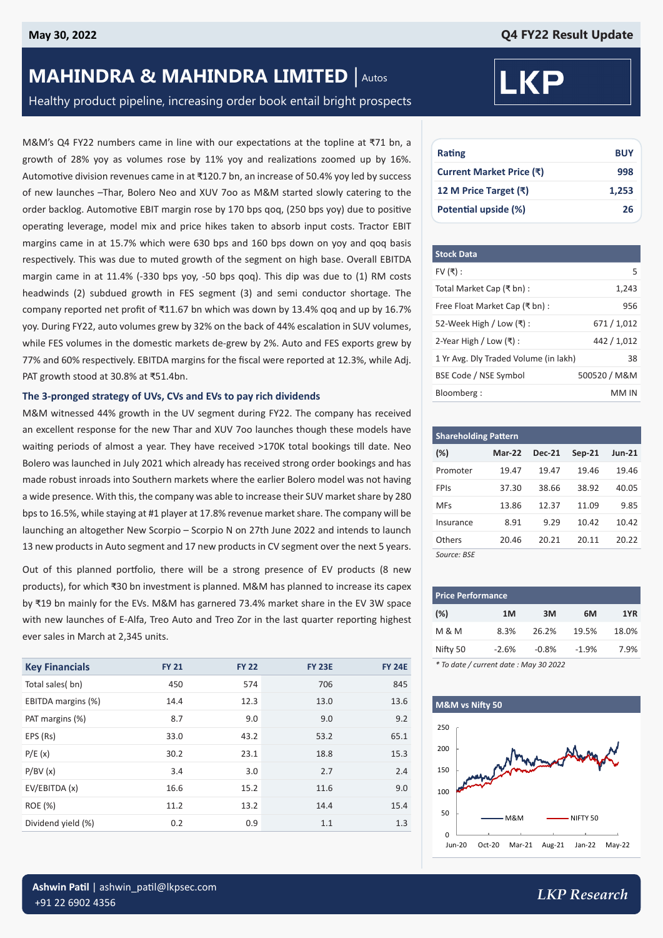# **MAHINDRA & MAHINDRA LIMITED** | Autos

# Healthy product pipeline, increasing order book entail bright prospects

M&M's Q4 FY22 numbers came in line with our expectations at the topline at ₹71 bn, a growth of 28% yoy as volumes rose by 11% yoy and realizations zoomed up by 16%. Automotive division revenues came in at ₹120.7 bn, an increase of 50.4% yoy led by success of new launches –Thar, Bolero Neo and XUV 7oo as M&M started slowly catering to the order backlog. Automotive EBIT margin rose by 170 bps qoq, (250 bps yoy) due to positive operating leverage, model mix and price hikes taken to absorb input costs. Tractor EBIT margins came in at 15.7% which were 630 bps and 160 bps down on yoy and qoq basis respectively. This was due to muted growth of the segment on high base. Overall EBITDA margin came in at 11.4% (-330 bps yoy, -50 bps qoq). This dip was due to (1) RM costs headwinds (2) subdued growth in FES segment (3) and semi conductor shortage. The company reported net profit of ₹11.67 bn which was down by 13.4% qoq and up by 16.7% yoy. During FY22, auto volumes grew by 32% on the back of 44% escalation in SUV volumes, while FES volumes in the domestic markets de-grew by 2%. Auto and FES exports grew by 77% and 60% respectively. EBITDA margins for the fiscal were reported at 12.3%, while Adj. PAT growth stood at 30.8% at ₹51.4bn.

#### **The 3-pronged strategy of UVs, CVs and EVs to pay rich dividends**

M&M witnessed 44% growth in the UV segment during FY22. The company has received an excellent response for the new Thar and XUV 7oo launches though these models have waiting periods of almost a year. They have received >170K total bookings till date. Neo Bolero was launched in July 2021 which already has received strong order bookings and has made robust inroads into Southern markets where the earlier Bolero model was not having a wide presence. With this, the company was able to increase their SUV market share by 280 bps to 16.5%, while staying at #1 player at 17.8% revenue market share. The company will be launching an altogether New Scorpio – Scorpio N on 27th June 2022 and intends to launch 13 new products in Auto segment and 17 new products in CV segment over the next 5 years.

Out of this planned portfolio, there will be a strong presence of EV products (8 new products), for which ₹30 bn investment is planned. M&M has planned to increase its capex by ₹19 bn mainly for the EVs. M&M has garnered 73.4% market share in the EV 3W space with new launches of E-Alfa, Treo Auto and Treo Zor in the last quarter reporting highest ever sales in March at 2,345 units.

| <b>Key Financials</b> | <b>FY 21</b> | <b>FY 22</b> | <b>FY 23E</b> | <b>FY 24E</b> |
|-----------------------|--------------|--------------|---------------|---------------|
| Total sales(bn)       | 450          | 574          | 706           | 845           |
| EBITDA margins (%)    | 14.4         | 12.3         | 13.0          | 13.6          |
| PAT margins (%)       | 8.7          | 9.0          | 9.0           | 9.2           |
| EPS (Rs)              | 33.0         | 43.2         | 53.2          | 65.1          |
| P/E(x)                | 30.2         | 23.1         | 18.8          | 15.3          |
| P/BV(x)               | 3.4          | 3.0          | 2.7           | 2.4           |
| EV/EBITDA (x)         | 16.6         | 15.2         | 11.6          | 9.0           |
| ROE (%)               | 11.2         | 13.2         | 14.4          | 15.4          |
| Dividend yield (%)    | 0.2          | 0.9          | 1.1           | 1.3           |



| Rating                   | <b>BUY</b> |
|--------------------------|------------|
| Current Market Price (₹) | 998        |
| 12 M Price Target (₹)    | 1.253      |
| Potential upside (%)     | 26         |

| <b>Stock Data</b>                     |              |
|---------------------------------------|--------------|
| FV $($ ₹):                            | 5            |
| Total Market Cap (₹ bn) :             | 1,243        |
| Free Float Market Cap (₹ bn):         | 956          |
| 52-Week High / Low $(\bar{x})$ :      | 671 / 1,012  |
| 2-Year High / Low $($ ₹ $)$ :         | 442 / 1.012  |
| 1 Yr Avg. Dly Traded Volume (in lakh) | 38           |
| BSE Code / NSE Symbol                 | 500520 / M&M |
| Bloomberg:                            | MM IN        |

| <b>Shareholding Pattern</b> |               |               |          |          |  |  |  |
|-----------------------------|---------------|---------------|----------|----------|--|--|--|
| $(\%)$                      | <b>Mar-22</b> | <b>Dec-21</b> | $Sep-21$ | $Jun-21$ |  |  |  |
| Promoter                    | 19.47         | 19.47         | 19.46    | 19.46    |  |  |  |
| FPIs                        | 37.30         | 38.66         | 38.92    | 40.05    |  |  |  |
| MFs                         | 13.86         | 12.37         | 11.09    | 9.85     |  |  |  |
| Insurance                   | 8.91          | 9.29          | 10.42    | 10.42    |  |  |  |
| Others                      | 20.46         | 20.21         | 20.11    | 20.22    |  |  |  |
| Source: BSE                 |               |               |          |          |  |  |  |

| <b>Price Performance</b>               |         |         |         |       |  |  |  |
|----------------------------------------|---------|---------|---------|-------|--|--|--|
| (%)                                    | 1M      | 3M      | 6M      | 1YR   |  |  |  |
| M & M                                  | 8.3%    | 26.2%   | 19.5%   | 18.0% |  |  |  |
| Nifty 50                               | $-2.6%$ | $-0.8%$ | $-1.9%$ | 7.9%  |  |  |  |
| * To date / current date : May 30 2022 |         |         |         |       |  |  |  |



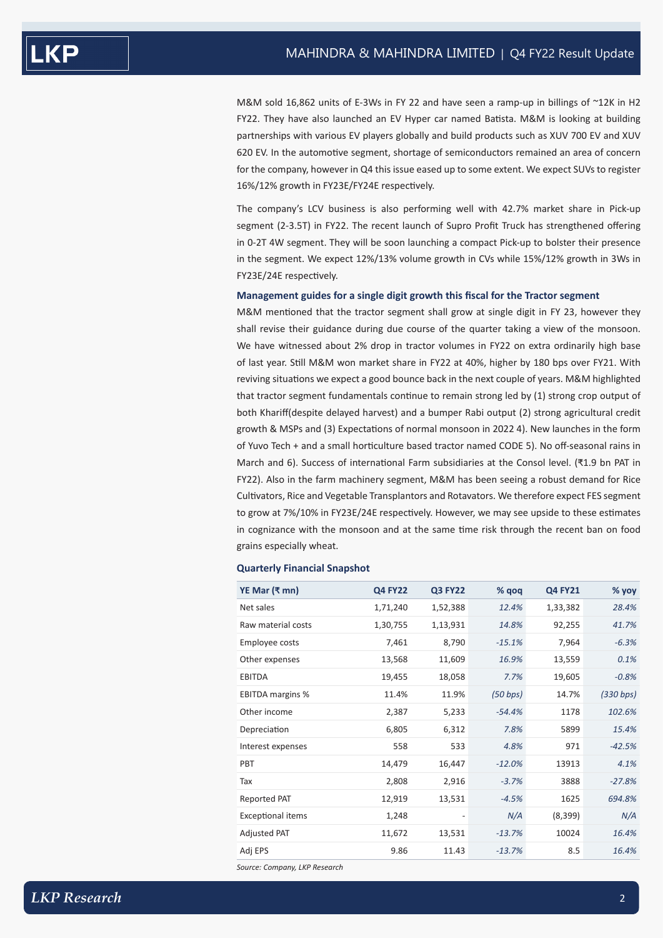M&M sold 16,862 units of E-3Ws in FY 22 and have seen a ramp-up in billings of ~12K in H2 FY22. They have also launched an EV Hyper car named Batista. M&M is looking at building partnerships with various EV players globally and build products such as XUV 700 EV and XUV 620 EV. In the automotive segment, shortage of semiconductors remained an area of concern for the company, however in Q4 this issue eased up to some extent. We expect SUVs to register 16%/12% growth in FY23E/FY24E respectively.

The company's LCV business is also performing well with 42.7% market share in Pick-up segment (2-3.5T) in FY22. The recent launch of Supro Profit Truck has strengthened offering in 0-2T 4W segment. They will be soon launching a compact Pick-up to bolster their presence in the segment. We expect 12%/13% volume growth in CVs while 15%/12% growth in 3Ws in FY23E/24E respectively.

#### **Management guides for a single digit growth this fiscal for the Tractor segment**

M&M mentioned that the tractor segment shall grow at single digit in FY 23, however they shall revise their guidance during due course of the quarter taking a view of the monsoon. We have witnessed about 2% drop in tractor volumes in FY22 on extra ordinarily high base of last year. Still M&M won market share in FY22 at 40%, higher by 180 bps over FY21. With reviving situations we expect a good bounce back in the next couple of years. M&M highlighted that tractor segment fundamentals continue to remain strong led by (1) strong crop output of both Khariff(despite delayed harvest) and a bumper Rabi output (2) strong agricultural credit growth & MSPs and (3) Expectations of normal monsoon in 2022 4). New launches in the form of Yuvo Tech + and a small horticulture based tractor named CODE 5). No off-seasonal rains in March and 6). Success of international Farm subsidiaries at the Consol level. (₹1.9 bn PAT in FY22). Also in the farm machinery segment, M&M has been seeing a robust demand for Rice Cultivators, Rice and Vegetable Transplantors and Rotavators. We therefore expect FES segment to grow at 7%/10% in FY23E/24E respectively. However, we may see upside to these estimates in cognizance with the monsoon and at the same time risk through the recent ban on food grains especially wheat.

### **Quarterly Financial Snapshot**

| YE Mar $(3 \text{ mm})$  | <b>Q4 FY22</b> | <b>Q3 FY22</b>           | % qoq    | <b>Q4 FY21</b> | % yoy     |
|--------------------------|----------------|--------------------------|----------|----------------|-----------|
| Net sales                | 1,71,240       | 1,52,388                 | 12.4%    | 1,33,382       | 28.4%     |
| Raw material costs       | 1,30,755       | 1,13,931                 | 14.8%    | 92,255         | 41.7%     |
| Employee costs           | 7,461          | 8,790                    | $-15.1%$ | 7,964          | $-6.3%$   |
| Other expenses           | 13,568         | 11,609                   | 16.9%    | 13,559         | 0.1%      |
| EBITDA                   | 19,455         | 18,058                   | 7.7%     | 19,605         | $-0.8%$   |
| <b>EBITDA margins %</b>  | 11.4%          | 11.9%                    | (50 bps) | 14.7%          | (330 bps) |
| Other income             | 2,387          | 5,233                    | $-54.4%$ | 1178           | 102.6%    |
| Depreciation             | 6,805          | 6,312                    | 7.8%     | 5899           | 15.4%     |
| Interest expenses        | 558            | 533                      | 4.8%     | 971            | $-42.5%$  |
| PBT                      | 14,479         | 16,447                   | $-12.0%$ | 13913          | 4.1%      |
| Tax                      | 2,808          | 2,916                    | $-3.7%$  | 3888           | $-27.8%$  |
| Reported PAT             | 12,919         | 13,531                   | $-4.5%$  | 1625           | 694.8%    |
| <b>Exceptional items</b> | 1,248          | $\overline{\phantom{0}}$ | N/A      | (8,399)        | N/A       |
| Adjusted PAT             | 11,672         | 13,531                   | $-13.7%$ | 10024          | 16.4%     |
| Adj EPS                  | 9.86           | 11.43                    | $-13.7%$ | 8.5            | 16.4%     |

*Source: Company, LKP Research*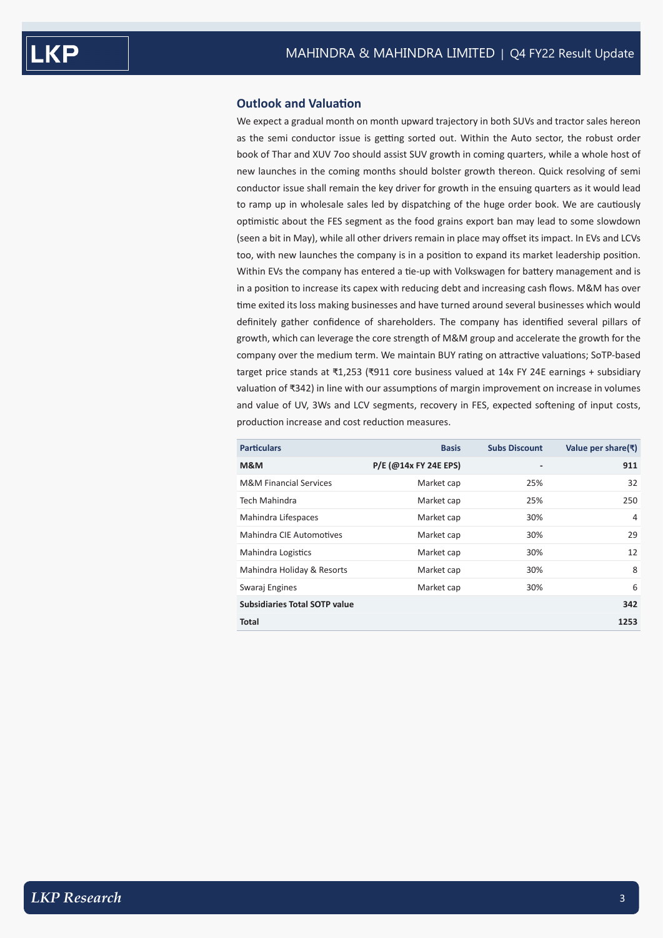## **Outlook and Valuation**

We expect a gradual month on month upward trajectory in both SUVs and tractor sales hereon as the semi conductor issue is getting sorted out. Within the Auto sector, the robust order book of Thar and XUV 7oo should assist SUV growth in coming quarters, while a whole host of new launches in the coming months should bolster growth thereon. Quick resolving of semi conductor issue shall remain the key driver for growth in the ensuing quarters as it would lead to ramp up in wholesale sales led by dispatching of the huge order book. We are cautiously optimistic about the FES segment as the food grains export ban may lead to some slowdown (seen a bit in May), while all other drivers remain in place may offset its impact. In EVs and LCVs too, with new launches the company is in a position to expand its market leadership position. Within EVs the company has entered a tie-up with Volkswagen for battery management and is in a position to increase its capex with reducing debt and increasing cash flows. M&M has over time exited its loss making businesses and have turned around several businesses which would definitely gather confidence of shareholders. The company has identified several pillars of growth, which can leverage the core strength of M&M group and accelerate the growth for the company over the medium term. We maintain BUY rating on attractive valuations; SoTP-based target price stands at ₹1,253 (₹911 core business valued at 14x FY 24E earnings + subsidiary valuation of ₹342) in line with our assumptions of margin improvement on increase in volumes and value of UV, 3Ws and LCV segments, recovery in FES, expected softening of input costs, production increase and cost reduction measures.

| <b>Particulars</b>                   | <b>Basis</b>          | <b>Subs Discount</b>     | Value per share(₹) |
|--------------------------------------|-----------------------|--------------------------|--------------------|
| M&M                                  | P/E (@14x FY 24E EPS) | $\overline{\phantom{a}}$ | 911                |
| <b>M&amp;M Financial Services</b>    | Market cap            | 25%                      | 32                 |
| Tech Mahindra                        | Market cap            | 25%                      | 250                |
| Mahindra Lifespaces                  | Market cap            | 30%                      | $\overline{4}$     |
| Mahindra CIE Automotives             | Market cap            | 30%                      | 29                 |
| Mahindra Logistics                   | Market cap            | 30%                      | 12                 |
| Mahindra Holiday & Resorts           | Market cap            | 30%                      | 8                  |
| Swaraj Engines                       | Market cap            | 30%                      | 6                  |
| <b>Subsidiaries Total SOTP value</b> |                       |                          | 342                |
| <b>Total</b>                         |                       |                          | 1253               |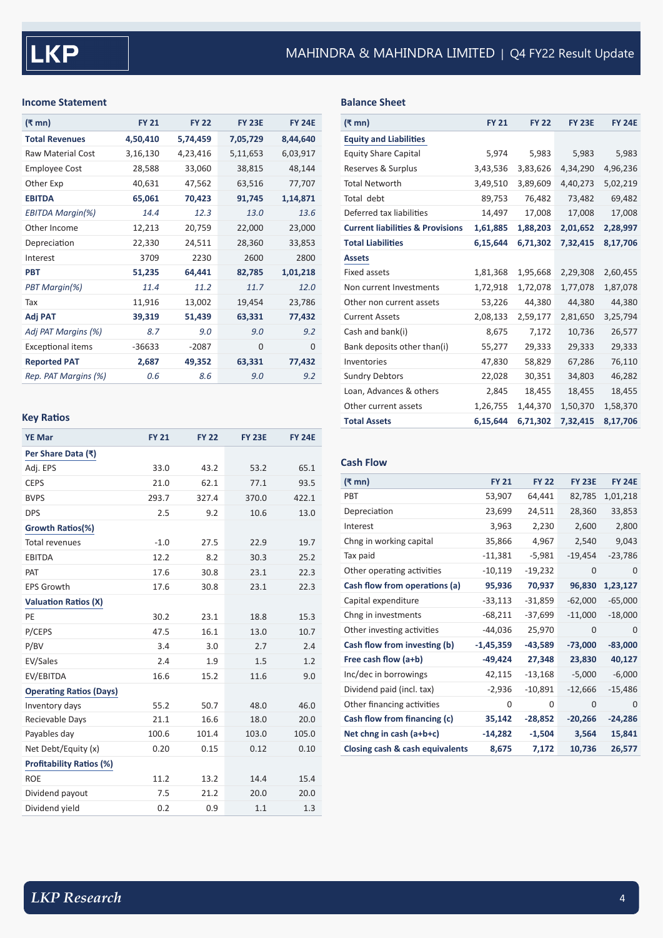## **Income Statement**

| (₹ mn)                   | <b>FY 21</b> | <b>FY 22</b> | <b>FY 23E</b> | <b>FY 24F</b> |
|--------------------------|--------------|--------------|---------------|---------------|
| <b>Total Revenues</b>    | 4,50,410     | 5,74,459     | 7,05,729      | 8,44,640      |
| <b>Raw Material Cost</b> | 3,16,130     | 4,23,416     | 5,11,653      | 6,03,917      |
| <b>Employee Cost</b>     | 28,588       | 33,060       | 38,815        | 48,144        |
| Other Exp                | 40,631       | 47,562       | 63,516        | 77,707        |
| <b>EBITDA</b>            | 65,061       | 70,423       | 91,745        | 1,14,871      |
| <b>EBITDA Margin(%)</b>  | 14.4         | 12.3         | 13.0          | 13.6          |
| Other Income             | 12,213       | 20,759       | 22,000        | 23,000        |
| Depreciation             | 22,330       | 24,511       | 28,360        | 33,853        |
| Interest                 | 3709         | 2230         | 2600          | 2800          |
| <b>PBT</b>               | 51,235       | 64,441       | 82,785        | 1,01,218      |
| PBT Margin(%)            | 11.4         | 11.2         | 11.7          | 12.0          |
| Tax                      | 11,916       | 13,002       | 19,454        | 23,786        |
| Adj PAT                  | 39,319       | 51,439       | 63,331        | 77,432        |
| Adj PAT Margins (%)      | 8.7          | 9.0          | 9.0           | 9.2           |
| <b>Exceptional items</b> | $-36633$     | $-2087$      | $\Omega$      | $\Omega$      |
| <b>Reported PAT</b>      | 2,687        | 49,352       | 63,331        | 77,432        |
| Rep. PAT Margins (%)     | 0.6          | 8.6          | 9.0           | 9.2           |

# **Key Ratios**

| <b>YE Mar</b>                   | <b>FY 21</b> | <b>FY 22</b> | <b>FY 23E</b> | <b>FY 24E</b> |
|---------------------------------|--------------|--------------|---------------|---------------|
| Per Share Data (₹)              |              |              |               |               |
| Adj. EPS                        | 33.0         | 43.2         | 53.2          | 65.1          |
| <b>CEPS</b>                     | 21.0         | 62.1         | 77.1          | 93.5          |
| <b>BVPS</b>                     | 293.7        | 327.4        | 370.0         | 422.1         |
| <b>DPS</b>                      | 2.5          | 9.2          | 10.6          | 13.0          |
| Growth Ratios(%)                |              |              |               |               |
| Total revenues                  | $-1.0$       | 27.5         | 22.9          | 19.7          |
| <b>EBITDA</b>                   | 12.2         | 8.2          | 30.3          | 25.2          |
| PAT                             | 17.6         | 30.8         | 23.1          | 22.3          |
| <b>EPS Growth</b>               | 17.6         | 30.8         | 23.1          | 22.3          |
| <b>Valuation Ratios (X)</b>     |              |              |               |               |
| PE                              | 30.2         | 23.1         | 18.8          | 15.3          |
| P/CEPS                          | 47.5         | 16.1         | 13.0          | 10.7          |
| P/BV                            | 3.4          | 3.0          | 2.7           | 2.4           |
| EV/Sales                        | 2.4          | 1.9          | 1.5           | 1.2           |
| EV/EBITDA                       | 16.6         | 15.2         | 11.6          | 9.0           |
| <b>Operating Ratios (Days)</b>  |              |              |               |               |
| Inventory days                  | 55.2         | 50.7         | 48.0          | 46.0          |
| Recievable Days                 | 21.1         | 16.6         | 18.0          | 20.0          |
| Payables day                    | 100.6        | 101.4        | 103.0         | 105.0         |
| Net Debt/Equity (x)             | 0.20         | 0.15         | 0.12          | 0.10          |
| <b>Profitability Ratios (%)</b> |              |              |               |               |
| <b>ROE</b>                      | 11.2         | 13.2         | 14.4          | 15.4          |
| Dividend payout                 | 7.5          | 21.2         | 20.0          | 20.0          |
| Dividend yield                  | 0.2          | 0.9          | 1.1           | 1.3           |

## **Balance Sheet**

| <b>Equity and Liabilities</b><br><b>Equity Share Capital</b><br>5,974<br>5,983<br>5,983<br>5,983<br>Reserves & Surplus<br>4,34,290<br>4,96,236<br>3,43,536<br>3,83,626<br><b>Total Networth</b><br>3,49,510<br>4,40,273<br>5,02,219<br>3,89,609<br>Total debt<br>89,753<br>76,482<br>69,482<br>73,482<br>Deferred tax liabilities<br>14,497<br>17,008<br>17,008<br>17,008<br><b>Current liabilities &amp; Provisions</b><br>1,61,885<br>1,88,203<br>2,01,652<br>2,28,997<br><b>Total Liabilities</b><br>6,15,644<br>6,71,302<br>7,32,415<br>8,17,706<br><b>Assets</b><br>Fixed assets<br>1,81,368<br>1,95,668<br>2,29,308<br>2,60,455<br>Non current Investments<br>1,72,918<br>1,72,078<br>1,77,078<br>1,87,078<br>53,226<br>44,380<br>44,380<br>44,380<br>Other non current assets<br>2,81,650<br>3,25,794<br><b>Current Assets</b><br>2,08,133<br>2,59,177<br>Cash and bank(i)<br>10,736<br>8,675<br>7,172<br>26,577<br>Bank deposits other than(i)<br>55,277<br>29,333<br>29,333<br>29,333<br>47,830<br>58,829<br>67,286<br>76,110<br>Inventories<br>46,282<br><b>Sundry Debtors</b><br>22,028<br>30,351<br>34,803<br>Loan, Advances & others<br>2,845<br>18,455<br>18,455<br>18,455<br>1,26,755<br>1,44,370<br>1,50,370<br>1,58,370<br>Other current assets<br><b>Total Assets</b><br>6,15,644<br>6,71,302<br>7,32,415<br>8,17,706 | (₹ mn) | <b>FY 21</b> | <b>FY 22</b> | <b>FY 23E</b> | <b>FY 24E</b> |
|-----------------------------------------------------------------------------------------------------------------------------------------------------------------------------------------------------------------------------------------------------------------------------------------------------------------------------------------------------------------------------------------------------------------------------------------------------------------------------------------------------------------------------------------------------------------------------------------------------------------------------------------------------------------------------------------------------------------------------------------------------------------------------------------------------------------------------------------------------------------------------------------------------------------------------------------------------------------------------------------------------------------------------------------------------------------------------------------------------------------------------------------------------------------------------------------------------------------------------------------------------------------------------------------------------------------------------------------|--------|--------------|--------------|---------------|---------------|
|                                                                                                                                                                                                                                                                                                                                                                                                                                                                                                                                                                                                                                                                                                                                                                                                                                                                                                                                                                                                                                                                                                                                                                                                                                                                                                                                         |        |              |              |               |               |
|                                                                                                                                                                                                                                                                                                                                                                                                                                                                                                                                                                                                                                                                                                                                                                                                                                                                                                                                                                                                                                                                                                                                                                                                                                                                                                                                         |        |              |              |               |               |
|                                                                                                                                                                                                                                                                                                                                                                                                                                                                                                                                                                                                                                                                                                                                                                                                                                                                                                                                                                                                                                                                                                                                                                                                                                                                                                                                         |        |              |              |               |               |
|                                                                                                                                                                                                                                                                                                                                                                                                                                                                                                                                                                                                                                                                                                                                                                                                                                                                                                                                                                                                                                                                                                                                                                                                                                                                                                                                         |        |              |              |               |               |
|                                                                                                                                                                                                                                                                                                                                                                                                                                                                                                                                                                                                                                                                                                                                                                                                                                                                                                                                                                                                                                                                                                                                                                                                                                                                                                                                         |        |              |              |               |               |
|                                                                                                                                                                                                                                                                                                                                                                                                                                                                                                                                                                                                                                                                                                                                                                                                                                                                                                                                                                                                                                                                                                                                                                                                                                                                                                                                         |        |              |              |               |               |
|                                                                                                                                                                                                                                                                                                                                                                                                                                                                                                                                                                                                                                                                                                                                                                                                                                                                                                                                                                                                                                                                                                                                                                                                                                                                                                                                         |        |              |              |               |               |
|                                                                                                                                                                                                                                                                                                                                                                                                                                                                                                                                                                                                                                                                                                                                                                                                                                                                                                                                                                                                                                                                                                                                                                                                                                                                                                                                         |        |              |              |               |               |
|                                                                                                                                                                                                                                                                                                                                                                                                                                                                                                                                                                                                                                                                                                                                                                                                                                                                                                                                                                                                                                                                                                                                                                                                                                                                                                                                         |        |              |              |               |               |
|                                                                                                                                                                                                                                                                                                                                                                                                                                                                                                                                                                                                                                                                                                                                                                                                                                                                                                                                                                                                                                                                                                                                                                                                                                                                                                                                         |        |              |              |               |               |
|                                                                                                                                                                                                                                                                                                                                                                                                                                                                                                                                                                                                                                                                                                                                                                                                                                                                                                                                                                                                                                                                                                                                                                                                                                                                                                                                         |        |              |              |               |               |
|                                                                                                                                                                                                                                                                                                                                                                                                                                                                                                                                                                                                                                                                                                                                                                                                                                                                                                                                                                                                                                                                                                                                                                                                                                                                                                                                         |        |              |              |               |               |
|                                                                                                                                                                                                                                                                                                                                                                                                                                                                                                                                                                                                                                                                                                                                                                                                                                                                                                                                                                                                                                                                                                                                                                                                                                                                                                                                         |        |              |              |               |               |
|                                                                                                                                                                                                                                                                                                                                                                                                                                                                                                                                                                                                                                                                                                                                                                                                                                                                                                                                                                                                                                                                                                                                                                                                                                                                                                                                         |        |              |              |               |               |
|                                                                                                                                                                                                                                                                                                                                                                                                                                                                                                                                                                                                                                                                                                                                                                                                                                                                                                                                                                                                                                                                                                                                                                                                                                                                                                                                         |        |              |              |               |               |
|                                                                                                                                                                                                                                                                                                                                                                                                                                                                                                                                                                                                                                                                                                                                                                                                                                                                                                                                                                                                                                                                                                                                                                                                                                                                                                                                         |        |              |              |               |               |
|                                                                                                                                                                                                                                                                                                                                                                                                                                                                                                                                                                                                                                                                                                                                                                                                                                                                                                                                                                                                                                                                                                                                                                                                                                                                                                                                         |        |              |              |               |               |
|                                                                                                                                                                                                                                                                                                                                                                                                                                                                                                                                                                                                                                                                                                                                                                                                                                                                                                                                                                                                                                                                                                                                                                                                                                                                                                                                         |        |              |              |               |               |
|                                                                                                                                                                                                                                                                                                                                                                                                                                                                                                                                                                                                                                                                                                                                                                                                                                                                                                                                                                                                                                                                                                                                                                                                                                                                                                                                         |        |              |              |               |               |
|                                                                                                                                                                                                                                                                                                                                                                                                                                                                                                                                                                                                                                                                                                                                                                                                                                                                                                                                                                                                                                                                                                                                                                                                                                                                                                                                         |        |              |              |               |               |

# **Cash Flow**

| (₹ mn)                          | <b>FY 21</b> | <b>FY 22</b> | <b>FY 23E</b> | <b>FY 24E</b> |
|---------------------------------|--------------|--------------|---------------|---------------|
| PBT                             | 53,907       | 64,441       | 82,785        | 1,01,218      |
| Depreciation                    | 23,699       | 24,511       | 28,360        | 33,853        |
| Interest                        | 3,963        | 2,230        | 2,600         | 2,800         |
| Chng in working capital         | 35,866       | 4,967        | 2,540         | 9,043         |
| Tax paid                        | $-11,381$    | $-5,981$     | $-19,454$     | $-23,786$     |
| Other operating activities      | $-10,119$    | $-19,232$    | 0             | 0             |
| Cash flow from operations (a)   | 95,936       | 70,937       | 96,830        | 1,23,127      |
| Capital expenditure             | $-33,113$    | $-31,859$    | $-62,000$     | $-65,000$     |
| Chng in investments             | $-68,211$    | $-37,699$    | $-11,000$     | $-18,000$     |
| Other investing activities      | -44,036      | 25,970       | 0             | 0             |
| Cash flow from investing (b)    | $-1,45,359$  | $-43,589$    | $-73,000$     | $-83,000$     |
| Free cash flow (a+b)            | $-49,424$    | 27,348       | 23,830        | 40,127        |
| Inc/dec in borrowings           | 42,115       | $-13,168$    | $-5,000$      | $-6,000$      |
| Dividend paid (incl. tax)       | $-2,936$     | $-10,891$    | $-12,666$     | $-15,486$     |
| Other financing activities      | 0            | 0            | $\mathbf 0$   | 0             |
| Cash flow from financing (c)    | 35,142       | $-28,852$    | $-20,266$     | $-24,286$     |
| Net chng in cash (a+b+c)        | $-14,282$    | $-1,504$     | 3,564         | 15,841        |
| Closing cash & cash equivalents | 8,675        | 7,172        | 10,736        | 26,577        |